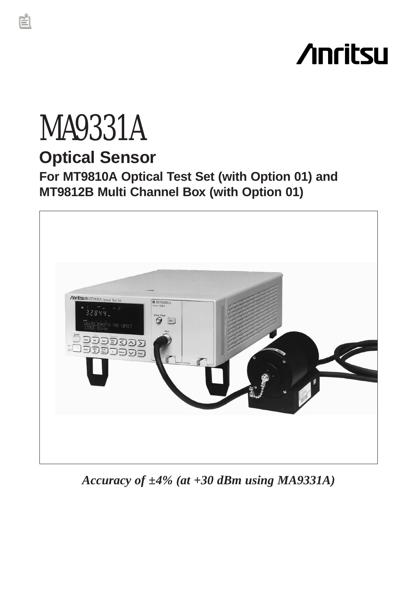# **Anritsu**

# MA9331A **Optical Sensor For MT9810A Optical Test Set (with Option 01) and MT9812B Multi Channel Box (with Option 01)**



*Accuracy of ±4% (at +30 dBm using MA9331A)*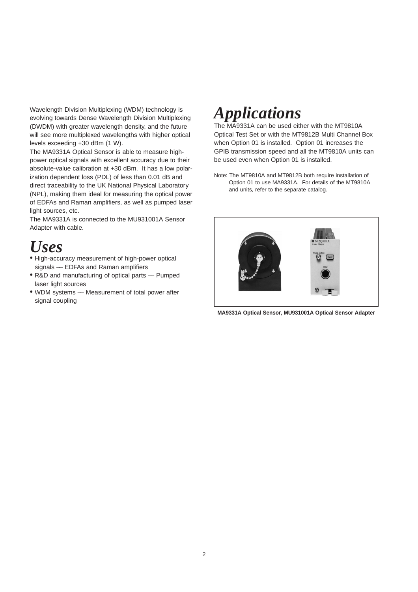Wavelength Division Multiplexing (WDM) technology is evolving towards Dense Wavelength Division Multiplexing (DWDM) with greater wavelength density, and the future will see more multiplexed wavelengths with higher optical levels exceeding +30 dBm (1 W).

The MA9331A Optical Sensor is able to measure highpower optical signals with excellent accuracy due to their absolute-value calibration at +30 dBm. It has a low polarization dependent loss (PDL) of less than 0.01 dB and direct traceability to the UK National Physical Laboratory (NPL), making them ideal for measuring the optical power of EDFAs and Raman amplifiers, as well as pumped laser light sources, etc.

The MA9331A is connected to the MU931001A Sensor Adapter with cable.

### *Uses*

- High-accuracy measurement of high-power optical signals –– EDFAs and Raman amplifiers
- R&D and manufacturing of optical parts Pumped laser light sources
- WDM systems –– Measurement of total power after signal coupling

## *Applications*

The MA9331A can be used either with the MT9810A Optical Test Set or with the MT9812B Multi Channel Box when Option 01 is installed. Option 01 increases the GPIB transmission speed and all the MT9810A units can be used even when Option 01 is installed.

Note: The MT9810A and MT9812B both require installation of Option 01 to use MA9331A. For details of the MT9810A and units, refer to the separate catalog.



**MA9331A Optical Sensor, MU931001A Optical Sensor Adapter**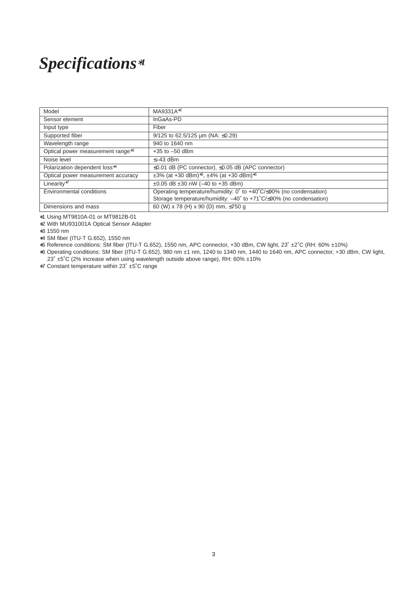# *Specifications*∗*<sup>1</sup>*

| Model                                         | MA9331A <sup>*2</sup>                                                                         |  |  |
|-----------------------------------------------|-----------------------------------------------------------------------------------------------|--|--|
| Sensor element                                | InGaAs-PD                                                                                     |  |  |
| Input type                                    | Fiber                                                                                         |  |  |
| Supported fiber                               | 9/125 to 62.5/125 $\mu$ m (NA: $\leq$ 0.29)                                                   |  |  |
| Wavelength range                              | 940 to 1640 nm                                                                                |  |  |
| Optical power measurement range <sup>*3</sup> | $+35$ to $-50$ dBm                                                                            |  |  |
| Noise level                                   | $\leq -43$ dBm                                                                                |  |  |
| Polarization dependent loss*4                 | $\leq$ 0.01 dB (PC connector), $\leq$ 0.05 dB (APC connector)                                 |  |  |
| Optical power measurement accuracy            | $\pm 3\%$ (at +30 dBm) <sup>*5</sup> , $\pm 4\%$ (at +30 dBm) <sup>*6</sup>                   |  |  |
| Linearity*7                                   | $\pm 0.05$ dB $\pm 30$ nW (-40 to +35 dBm)                                                    |  |  |
| <b>Environmental conditions</b>               | Operating temperature/humidity: $0^{\circ}$ to +40 $^{\circ}$ C/ $\leq$ 90% (no condensation) |  |  |
|                                               | Storage temperature/humidity: -40° to +71°C/≤90% (no condensation)                            |  |  |
| Dimensions and mass                           | 60 (W) x 78 (H) x 90 (D) mm, ≤750 g                                                           |  |  |

∗1 Using MT9810A-01 or MT9812B-01

∗2 With MU931001A Optical Sensor Adapter

∗3 1550 nm

∗4 SM fiber (ITU-T G.652), 1550 nm

∗5 Reference conditions: SM fiber (ITU-T G.652), 1550 nm, APC connector, +30 dBm, CW light, 23˚ ±2˚C (RH: 60% ±10%)

∗6 Operating conditions: SM fiber (ITU-T G.652), 980 nm ±1 nm, 1240 to 1340 nm, 1440 to 1640 nm, APC connector, +30 dBm, CW light, 23˚ ±5˚C (2% increase when using wavelength outside above range), RH: 60% ±10%

∗7 Constant temperature within 23˚ ±5˚C range